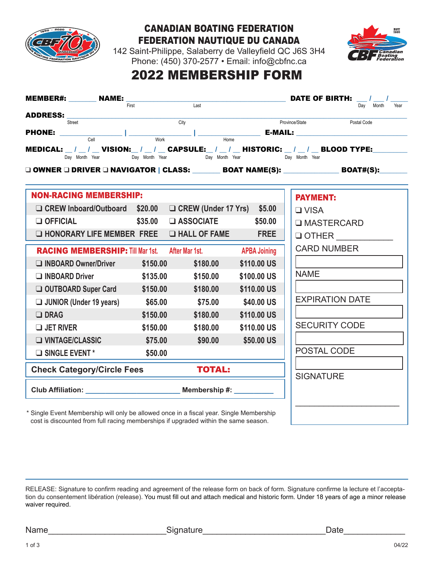

# Canadian Boating Federation Federation Nautique du Canada



142 Saint-Philippe, Salaberry de Valleyfield QC J6S 3H4 Phone: (450) 370-2577 • Email: info@cbfnc.ca

# 2022 MEMBERSHIP FORM

| <b>MEMBER#:</b> NAME: $F_{\text{first}}$ and $F_{\text{first}}$ and $F_{\text{test}}$                 |          |                                                                              |                   | <b>DATE OF BIRTH:</b> / /                                                                                                    |
|-------------------------------------------------------------------------------------------------------|----------|------------------------------------------------------------------------------|-------------------|------------------------------------------------------------------------------------------------------------------------------|
|                                                                                                       |          |                                                                              |                   | Dav Month<br>Year                                                                                                            |
| <b>ADDRESS:</b> City                                                                                  |          |                                                                              |                   | Province/State Postal Code                                                                                                   |
|                                                                                                       |          |                                                                              |                   | <b>PHONE:</b> $\frac{1}{\text{Cell}}$ $\frac{1}{\text{Work}}$ $\frac{1}{\text{Home}}$ <b>E-MAIL:</b> $\frac{1}{\text{Home}}$ |
| MEDICAL: __ / __ / __ VISION:__ / __ / __ CAPSULE:__ / __ / __ HISTORIC: __ / __ / __ BLOOD TYPE:____ |          |                                                                              |                   |                                                                                                                              |
|                                                                                                       |          | Day Month Year <b>Day Month Year Day Month Day Month Year Day Month Year</b> |                   |                                                                                                                              |
|                                                                                                       |          |                                                                              |                   | □ OWNER □ DRIVER □ NAVIGATOR   CLASS: ________ BOAT NAME(S): _______________ BOAT#(S): _______                               |
|                                                                                                       |          |                                                                              |                   |                                                                                                                              |
| <b>NON-RACING MEMBERSHIP:</b>                                                                         |          |                                                                              |                   | <b>PAYMENT:</b>                                                                                                              |
| □ CREW Inboard/Outboard \$20.00 □ CREW (Under 17 Yrs) \$5.00                                          |          |                                                                              |                   | $\Box$ VISA                                                                                                                  |
| $\Box$ OFFICIAL                                                                                       | \$35.00  | $\square$ ASSOCIATE                                                          | \$50.00           | <b>U MASTERCARD</b>                                                                                                          |
| $\Box$ HONORARY LIFE MEMBER FREE $\Box$ HALL OF FAME FREE                                             |          |                                                                              |                   | $\Box$ OTHER                                                                                                                 |
| <b>RACING MEMBERSHIP:</b> Till Mar 1st. After Mar 1st. APBA Joining                                   |          |                                                                              |                   | <b>CARD NUMBER</b>                                                                                                           |
| □ INBOARD Owner/Driver \$150.00                                                                       |          | \$180.00                                                                     | \$110.00 US       |                                                                                                                              |
| INBOARD Driver                                                                                        | \$135.00 | \$150.00                                                                     | \$100.00 US       | <b>NAME</b>                                                                                                                  |
| □ OUTBOARD Super Card \$150.00 \$180.00                                                               |          |                                                                              | \$110.00 US       |                                                                                                                              |
| □ JUNIOR (Under 19 years)   \$65.00   \$75.00   \$40.00   US                                          |          |                                                                              |                   | <b>EXPIRATION DATE</b>                                                                                                       |
| $\Box$ DRAG                                                                                           |          | $$150.00$ \$180.00                                                           | \$110.00 US       |                                                                                                                              |
| $\Box$ JET RIVER                                                                                      | \$150.00 | \$180.00                                                                     | \$110.00 US       | <b>SECURITY CODE</b>                                                                                                         |
| $\Box$ VINTAGE/CLASSIC                                                                                | \$75.00  | \$90.00                                                                      | <b>\$50.00 US</b> |                                                                                                                              |
| SINGLE EVENT*                                                                                         | \$50.00  |                                                                              |                   | POSTAL CODE                                                                                                                  |
| <b>Check Category/Circle Fees</b>                                                                     |          | <b>TOTAL:</b>                                                                |                   |                                                                                                                              |
|                                                                                                       |          |                                                                              |                   | <b>SIGNATURE</b>                                                                                                             |
| Club Affiliation: ______________________________ Membership #: __________                             |          |                                                                              |                   |                                                                                                                              |
| * Single Event Membership will only be allowed once in a fiscal year. Single Membership               |          |                                                                              |                   |                                                                                                                              |

cost is discounted from full racing memberships if upgraded within the same season.

RELEASE: Signature to confirm reading and agreement of the release form on back of form. Signature confirme la lecture et l'acceptation du consentement libération (release). You must fill out and attach medical and historic form. Under 18 years of age a minor release waiver required.

Name Date Communication Communication Signature Communication Communication Communication Communication Communication Communication Communication Communication Communication Communication Communication Communication Commun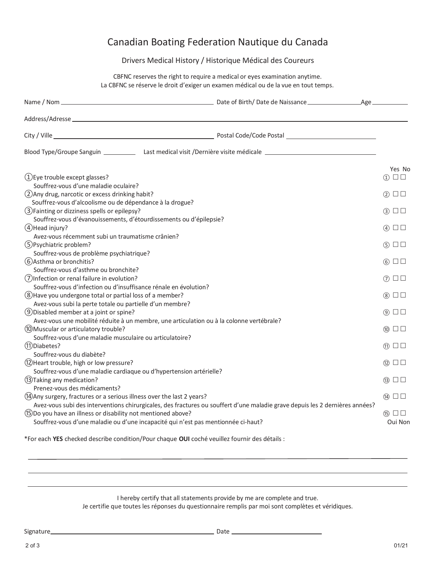## Canadian Boating Federation Nautique du Canada

### Drivers Medical History / Historique Médical des Coureurs

CBFNC reserves the right to require a medical or eyes examination anytime. La CBFNC se réserve le droit d'exiger un examen médical ou de la vue en tout temps.

| (1) Eye trouble except glasses?                                                                                                                                                                         |  | Yes No<br>$\Box$<br>$\textcircled{\scriptsize{1}}$ |  |
|---------------------------------------------------------------------------------------------------------------------------------------------------------------------------------------------------------|--|----------------------------------------------------|--|
| Souffrez-vous d'une maladie oculaire?<br>(2) Any drug, narcotic or excess drinking habit?<br>Souffrez-vous d'alcoolisme ou de dépendance à la drogue?                                                   |  |                                                    |  |
| (3) Fainting or dizziness spells or epilepsy?<br>Souffrez-vous d'évanouissements, d'étourdissements ou d'épilepsie?                                                                                     |  |                                                    |  |
| 4) Head injury?<br>Avez-vous récemment subi un traumatisme crânien?                                                                                                                                     |  |                                                    |  |
| (5) Psychiatric problem?<br>Souffrez-vous de problème psychiatrique?                                                                                                                                    |  | $(5)$ $\Box$ $\Box$                                |  |
| (6) Asthma or bronchitis?                                                                                                                                                                               |  | $6)$ $\Box$                                        |  |
| Souffrez-vous d'asthme ou bronchite?<br>(7) Infection or renal failure in evolution?                                                                                                                    |  | ⑦ □□                                               |  |
| Souffrez-vous d'infection ou d'insuffisance rénale en évolution?<br>(8) Have you undergone total or partial loss of a member?<br>Avez-vous subi la perte totale ou partielle d'un membre?               |  |                                                    |  |
| (9) Disabled member at a joint or spine?<br>Avez-vous une mobilité réduite à un membre, une articulation ou à la colonne vertébrale?                                                                    |  |                                                    |  |
| (10) Muscular or articulatory trouble?<br>Souffrez-vous d'une maladie musculaire ou articulatoire?                                                                                                      |  | $\circledcirc$ $\Box$ $\Box$                       |  |
| (1) Diabetes?<br>Souffrez-vous du diabète?                                                                                                                                                              |  | $\textcircled{\tiny{1}}$ $\Box$ $\Box$             |  |
| (12) Heart trouble, high or low pressure?<br>Souffrez-vous d'une maladie cardiaque ou d'hypertension artérielle?                                                                                        |  | $(12)$ $\Box$                                      |  |
| (13) Taking any medication?<br>Prenez-vous des médicaments?                                                                                                                                             |  | $\circledR$ $\square$ $\square$                    |  |
| (14) Any surgery, fractures or a serious illness over the last 2 years?<br>Avez-vous subi des interventions chirurgicales, des fractures ou souffert d'une maladie grave depuis les 2 dernières années? |  |                                                    |  |
| (15) Do you have an illness or disability not mentioned above?<br>Souffrez-vous d'une maladie ou d'une incapacité qui n'est pas mentionnée ci-haut?                                                     |  | $(15)$ $\Box$<br>Oui Non                           |  |

\*For each **YES** checked describe condition/Pour chaque **OUI** coché veuillez fournir des détails :

I hereby certify that all statements provide by me are complete and true.

Je certifie que toutes les réponses du questionnaire remplis par moi sont complètes et véridiques.

Signature Date